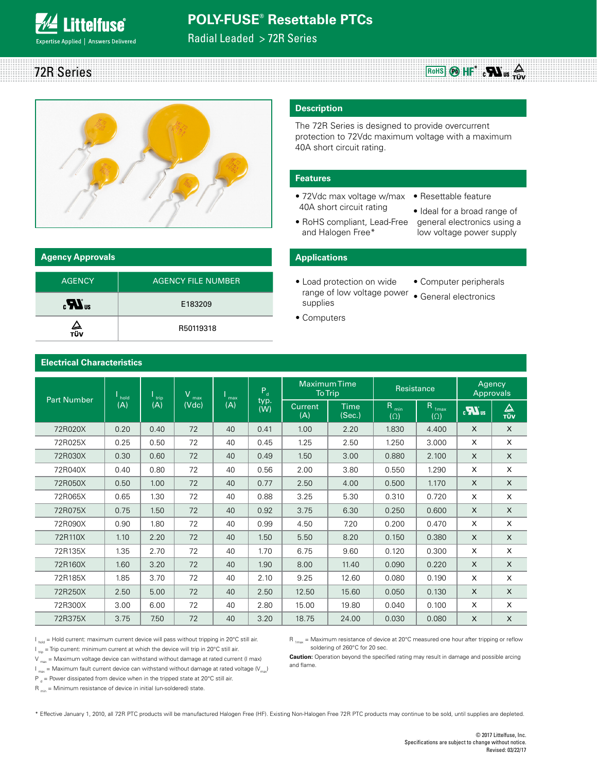### **Littelfuse**® xpertise Applied | Answers Delivered

### **POLY-FUSE® Resettable PTCs**

**RoHS \*** 72R Series

Radial Leaded > 72R Series



| <b>Agency Approvals</b>      |                           |
|------------------------------|---------------------------|
| <b>AGENCY</b>                | <b>AGENCY FILE NUMBER</b> |
| $\boldsymbol{H}_{\text{us}}$ | E183209                   |
| ∠⊾<br>тüv                    | R50119318                 |

#### **Description**

The 72R Series is designed to provide overcurrent protection to 72Vdc maximum voltage with a maximum 40A short circuit rating.

#### **Features**

- 72Vdc max voltage w/max Resettable feature 40A short circuit rating
- RoHS compliant, Lead-Free and Halogen Free\*
- Ideal for a broad range of general electronics using a low voltage power supply

#### **Applications**

- Load protection on wide range of low voltage power • General electronics supplies
	- Computer peripherals
	-
- Computers

|                    |             |             | v            |            | Pa          | <b>MaximumTime</b>    | <b>To Trip</b>        | Resistance                     |                                 |                           | Agency<br>Approvals |
|--------------------|-------------|-------------|--------------|------------|-------------|-----------------------|-----------------------|--------------------------------|---------------------------------|---------------------------|---------------------|
| <b>Part Number</b> | hold<br>(A) | trip<br>(A) | max<br>(Vdc) | max<br>(A) | typ.<br>(W) | <b>Current</b><br>(A) | <b>Time</b><br>(Sec.) | R <sub>min</sub><br>$(\Omega)$ | R <sub>1max</sub><br>$(\Omega)$ | $\boldsymbol{u}$          | △<br>TÜV            |
| 72R020X            | 0.20        | 0.40        | 72           | 40         | 0.41        | 1.00                  | 2.20                  | 1.830                          | 4.400                           | $\mathsf{X}$              | X                   |
| 72R025X            | 0.25        | 0.50        | 72           | 40         | 0.45        | 1.25                  | 2.50                  | 1.250                          | 3.000                           | X                         | X                   |
| 72R030X            | 0.30        | 0.60        | 72           | 40         | 0.49        | 1.50                  | 3.00                  | 0.880                          | 2.100                           | $\times$                  | X                   |
| 72R040X            | 0.40        | 0.80        | 72           | 40         | 0.56        | 2.00                  | 3.80                  | 0.550                          | 1.290                           | X                         | X                   |
| 72R050X            | 0.50        | 1.00        | 72           | 40         | 0.77        | 2.50                  | 4.00                  | 0.500                          | 1.170                           | X                         | X                   |
| 72R065X            | 0.65        | 1.30        | 72           | 40         | 0.88        | 3.25                  | 5.30                  | 0.310                          | 0.720                           | X                         | X                   |
| 72R075X            | 0.75        | 1.50        | 72           | 40         | 0.92        | 3.75                  | 6.30                  | 0.250                          | 0.600                           | X                         | X                   |
| 72R090X            | 0.90        | 1.80        | 72           | 40         | 0.99        | 4.50                  | 7.20                  | 0.200                          | 0.470                           | X                         | X                   |
| 72R110X            | 1.10        | 2.20        | 72           | 40         | 1.50        | 5.50                  | 8.20                  | 0.150                          | 0.380                           | $\mathsf{x}$              | X                   |
| 72R135X            | 1.35        | 2.70        | 72           | 40         | 1.70        | 6.75                  | 9.60                  | 0.120                          | 0.300                           | X                         | X                   |
| 72R160X            | 1.60        | 3.20        | 72           | 40         | 1.90        | 8.00                  | 11.40                 | 0.090                          | 0.220                           | $\mathsf{X}$              | X                   |
| 72R185X            | 1.85        | 3.70        | 72           | 40         | 2.10        | 9.25                  | 12.60                 | 0.080                          | 0.190                           | X                         | X                   |
| 72R250X            | 2.50        | 5.00        | 72           | 40         | 2.50        | 12.50                 | 15.60                 | 0.050                          | 0.130                           | X                         | X                   |
| 72R300X            | 3.00        | 6.00        | 72           | 40         | 2.80        | 15.00                 | 19.80                 | 0.040                          | 0.100                           | X                         | X                   |
| 72R375X            | 3.75        | 7.50        | 72           | 40         | 3.20        | 18.75                 | 24.00                 | 0.030                          | 0.080                           | $\boldsymbol{\mathsf{x}}$ | X                   |

#### **Electrical Characteristics**

 $I<sub>hold</sub>$  = Hold current: maximum current device will pass without tripping in 20°C still air.  $I_{\text{triv}}$  = Trip current: minimum current at which the device will trip in 20°C still air.

 $V_{\text{max}}$  = Maximum voltage device can withstand without damage at rated current (I max)

 $I_{\text{max}}$  = Maximum fault current device can withstand without damage at rated voltage ( $V_{\text{max}}$ )

 $P_{d}$  = Power dissipated from device when in the tripped state at 20°C still air.

 $R_{min}$  = Minimum resistance of device in initial (un-soldered) state.

R <sub>1max</sub> = Maximum resistance of device at 20°C measured one hour after tripping or reflow soldering of 260°C for 20 sec.

**Caution:** Operation beyond the specified rating may result in damage and possible arcing and flame.

\* Effective January 1, 2010, all 72R PTC products will be manufactured Halogen Free (HF). Existing Non-Halogen Free 72R PTC products may continue to be sold, until supplies are depleted.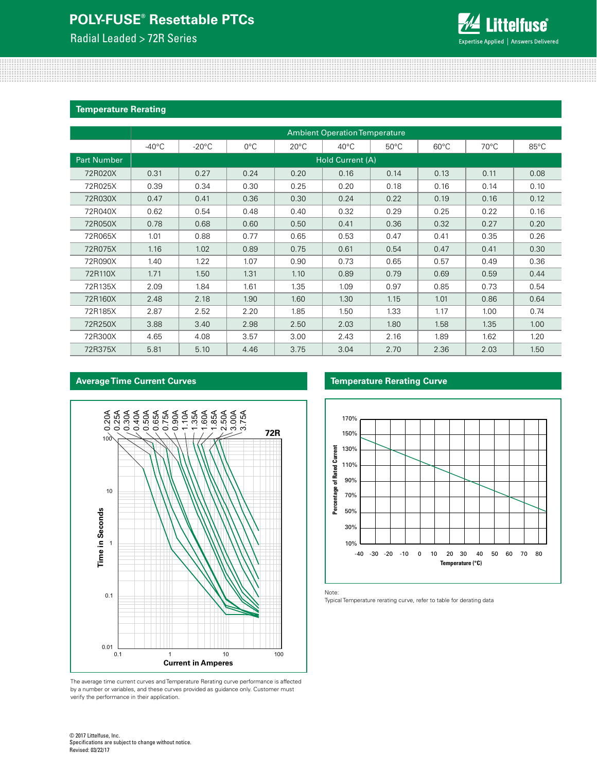Radial Leaded > 72R Series

**Average Time Current Curves**



#### **Temperature Rerating**

|                    | <b>Ambient Operation Temperature</b> |                  |               |                |                |                |                |                |                |  |
|--------------------|--------------------------------------|------------------|---------------|----------------|----------------|----------------|----------------|----------------|----------------|--|
|                    | $-40^{\circ}$ C                      | $-20^{\circ}$ C  | $0^{\circ}$ C | $20^{\circ}$ C | $40^{\circ}$ C | $50^{\circ}$ C | $60^{\circ}$ C | $70^{\circ}$ C | $85^{\circ}$ C |  |
| <b>Part Number</b> |                                      | Hold Current (A) |               |                |                |                |                |                |                |  |
| 72R020X            | 0.31                                 | 0.27             | 0.24          | 0.20           | 0.16           | 0.14           | 0.13           | 0.11           | 0.08           |  |
| 72R025X            | 0.39                                 | 0.34             | 0.30          | 0.25           | 0.20           | 0.18           | 0.16           | 0.14           | 0.10           |  |
| 72R030X            | 0.47                                 | 0.41             | 0.36          | 0.30           | 0.24           | 0.22           | 0.19           | 0.16           | 0.12           |  |
| 72R040X            | 0.62                                 | 0.54             | 0.48          | 0.40           | 0.32           | 0.29           | 0.25           | 0.22           | 0.16           |  |
| 72R050X            | 0.78                                 | 0.68             | 0.60          | 0.50           | 0.41           | 0.36           | 0.32           | 0.27           | 0.20           |  |
| 72R065X            | 1.01                                 | 0.88             | 0.77          | 0.65           | 0.53           | 0.47           | 0.41           | 0.35           | 0.26           |  |
| 72R075X            | 1.16                                 | 1.02             | 0.89          | 0.75           | 0.61           | 0.54           | 0.47           | 0.41           | 0.30           |  |
| 72R090X            | 1.40                                 | 1.22             | 1.07          | 0.90           | 0.73           | 0.65           | 0.57           | 0.49           | 0.36           |  |
| 72R110X            | 1.71                                 | 1.50             | 1.31          | 1.10           | 0.89           | 0.79           | 0.69           | 0.59           | 0.44           |  |
| 72R135X            | 2.09                                 | 1.84             | 1.61          | 1.35           | 1.09           | 0.97           | 0.85           | 0.73           | 0.54           |  |
| 72R160X            | 2.48                                 | 2.18             | 1.90          | 1.60           | 1.30           | 1.15           | 1.01           | 0.86           | 0.64           |  |
| 72R185X            | 2.87                                 | 2.52             | 2.20          | 1.85           | 1.50           | 1.33           | 1.17           | 1.00           | 0.74           |  |
| 72R250X            | 3.88                                 | 3.40             | 2.98          | 2.50           | 2.03           | 1.80           | 1.58           | 1.35           | 1.00           |  |
| 72R300X            | 4.65                                 | 4.08             | 3.57          | 3.00           | 2.43           | 2.16           | 1.89           | 1.62           | 1.20           |  |
| 72R375X            | 5.81                                 | 5.10             | 4.46          | 3.75           | 3.04           | 2.70           | 2.36           | 2.03           | 1.50           |  |

# 0.20 A 0.25 A 0.30 A 0.40 A 0.50 A 0.65 A 0.75 A 0.90 A 1.10 A 1.35 A 1.60 A 1.85 A 2.50 A 3.00 A 3.75 A **72R** 100 10 Time in Seconds **Time in Seconds**1 0.1  $0.01$ <sub>0.1</sub> 0.1 1 10 100 **Current in Amperes**

The average time current curves and Temperature Rerating curve performance is affected by a number or variables, and these curves provided as guidance only. Customer must verify the performance in their application.

#### **Temperature Rerating Curve**



Note:

Typical Temperature rerating curve, refer to table for derating data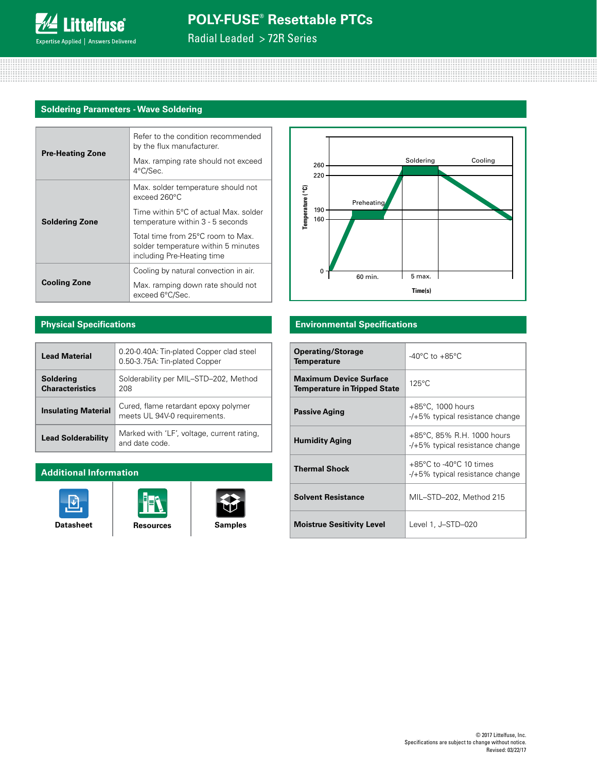Radial Leaded > 72R Series

#### **Soldering Parameters - Wave Soldering**

|                         | Refer to the condition recommended<br>by the flux manufacturer.                                        |  |  |  |  |  |
|-------------------------|--------------------------------------------------------------------------------------------------------|--|--|--|--|--|
| <b>Pre-Heating Zone</b> | Max. ramping rate should not exceed<br>4°C/Sec.                                                        |  |  |  |  |  |
| <b>Soldering Zone</b>   | Max. solder temperature should not<br>$exceed 260^{\circ}$ C                                           |  |  |  |  |  |
|                         | Time within 5°C of actual Max, solder<br>temperature within 3 - 5 seconds                              |  |  |  |  |  |
|                         | Total time from 25°C room to Max.<br>solder temperature within 5 minutes<br>including Pre-Heating time |  |  |  |  |  |
|                         | Cooling by natural convection in air.                                                                  |  |  |  |  |  |
| <b>Cooling Zone</b>     | Max. ramping down rate should not<br>exceed 6°C/Sec.                                                   |  |  |  |  |  |



#### **Physical Specifications**

| <b>Lead Material</b>                | 0.20-0.40A: Tin-plated Copper clad steel<br>0.50-3.75A: Tin-plated Copper |
|-------------------------------------|---------------------------------------------------------------------------|
| Soldering<br><b>Characteristics</b> | Solderability per MIL-STD-202, Method<br>208                              |
| <b>Insulating Material</b>          | Cured, flame retardant epoxy polymer<br>meets UL 94V-0 requirements.      |
| <b>Lead Solderability</b>           | Marked with 'LF', voltage, current rating,<br>and date code.              |

#### **Additional Information**





V

#### **Environmental Specifications**

| <b>Operating/Storage</b><br><b>Temperature</b>                       | $-40^{\circ}$ C to $+85^{\circ}$ C                                              |
|----------------------------------------------------------------------|---------------------------------------------------------------------------------|
| <b>Maximum Device Surface</b><br><b>Temperature in Tripped State</b> | $125^{\circ}$ C                                                                 |
| <b>Passive Aging</b>                                                 | $+85^{\circ}$ C, 1000 hours<br>$-$ /+5% typical resistance change               |
| <b>Humidity Aging</b>                                                | +85°C, 85% R.H. 1000 hours<br>$-$ /+5% typical resistance change                |
| <b>Thermal Shock</b>                                                 | $+85^{\circ}$ C to -40 $^{\circ}$ C 10 times<br>-/+5% typical resistance change |
| <b>Solvent Resistance</b>                                            | MIL-STD-202, Method 215                                                         |
| <b>Moistrue Sesitivity Level</b>                                     | Level 1, J-STD-020                                                              |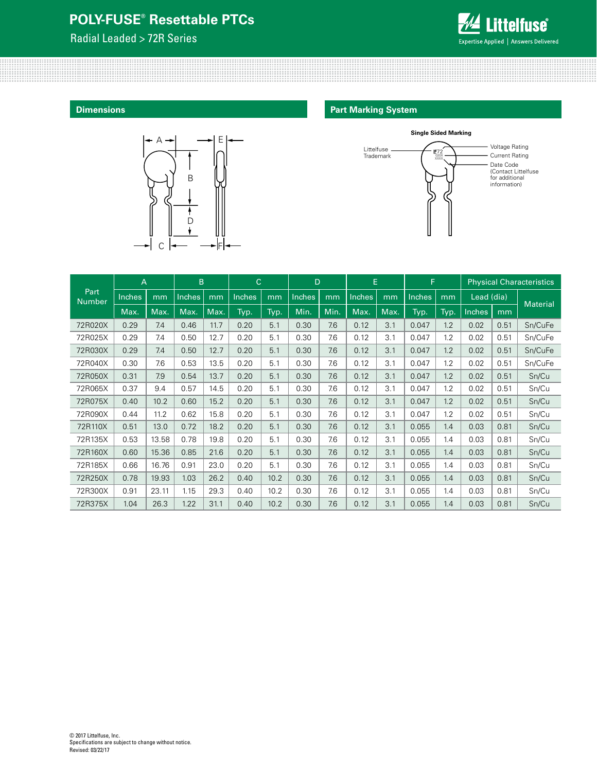Radial Leaded > 72R Series



**Dimensions**



#### **Part Marking System**



|                       | B<br>A        |       |               | C    |        |      | D      |      | E             |      | F      |      | <b>Physical Characteristics</b> |      |                 |
|-----------------------|---------------|-------|---------------|------|--------|------|--------|------|---------------|------|--------|------|---------------------------------|------|-----------------|
| Part<br><b>Number</b> | <b>Inches</b> | mm    | <b>Inches</b> | mm   | Inches | mm   | Inches | mm   | <b>Inches</b> | mm   | Inches | mm   | Lead (dia)                      |      |                 |
|                       | Max.          | Max.  | Max.          | Max. | Typ.   | Typ. | Min.   | Min. | Max.          | Max. | Typ.   | Typ. | Inches                          | mm   | <b>Material</b> |
| 72R020X               | 0.29          | 7.4   | 0.46          | 11.7 | 0.20   | 5.1  | 0.30   | 7.6  | 0.12          | 3.1  | 0.047  | 1.2  | 0.02                            | 0.51 | Sn/CuFe         |
| 72R025X               | 0.29          | 7.4   | 0.50          | 12.7 | 0.20   | 5.1  | 0.30   | 7.6  | 0.12          | 3.1  | 0.047  | 1.2  | 0.02                            | 0.51 | Sn/CuFe         |
| 72R030X               | 0.29          | 7.4   | 0.50          | 12.7 | 0.20   | 5.1  | 0.30   | 7.6  | 0.12          | 3.1  | 0.047  | 1.2  | 0.02                            | 0.51 | Sn/CuFe         |
| 72R040X               | 0.30          | 7.6   | 0.53          | 13.5 | 0.20   | 5.1  | 0.30   | 7.6  | 0.12          | 3.1  | 0.047  | 1.2  | 0.02                            | 0.51 | Sn/CuFe         |
| 72R050X               | 0.31          | 7.9   | 0.54          | 13.7 | 0.20   | 5.1  | 0.30   | 7.6  | 0.12          | 3.1  | 0.047  | 1.2  | 0.02                            | 0.51 | Sn/Cu           |
| 72R065X               | 0.37          | 9.4   | 0.57          | 14.5 | 0.20   | 5.1  | 0.30   | 7.6  | 0.12          | 3.1  | 0.047  | 1.2  | 0.02                            | 0.51 | Sn/Cu           |
| 72R075X               | 0.40          | 10.2  | 0.60          | 15.2 | 0.20   | 5.1  | 0.30   | 7.6  | 0.12          | 3.1  | 0.047  | 1.2  | 0.02                            | 0.51 | Sn/Cu           |
| 72R090X               | 0.44          | 11.2  | 0.62          | 15.8 | 0.20   | 5.1  | 0.30   | 7.6  | 0.12          | 3.1  | 0.047  | 1.2  | 0.02                            | 0.51 | Sn/Cu           |
| 72R110X               | 0.51          | 13.0  | 0.72          | 18.2 | 0.20   | 5.1  | 0.30   | 7.6  | 0.12          | 3.1  | 0.055  | 1.4  | 0.03                            | 0.81 | Sn/Cu           |
| 72R135X               | 0.53          | 13.58 | 0.78          | 19.8 | 0.20   | 5.1  | 0.30   | 7.6  | 0.12          | 3.1  | 0.055  | 1.4  | 0.03                            | 0.81 | Sn/Cu           |
| 72R160X               | 0.60          | 15.36 | 0.85          | 21.6 | 0.20   | 5.1  | 0.30   | 7.6  | 0.12          | 3.1  | 0.055  | 1.4  | 0.03                            | 0.81 | Sn/Cu           |
| 72R185X               | 0.66          | 16.76 | 0.91          | 23.0 | 0.20   | 5.1  | 0.30   | 7.6  | 0.12          | 3.1  | 0.055  | 1.4  | 0.03                            | 0.81 | Sn/Cu           |
| 72R250X               | 0.78          | 19.93 | 1.03          | 26.2 | 0.40   | 10.2 | 0.30   | 7.6  | 0.12          | 3.1  | 0.055  | 1.4  | 0.03                            | 0.81 | Sn/Cu           |
| 72R300X               | 0.91          | 23.11 | 1.15          | 29.3 | 0.40   | 10.2 | 0.30   | 7.6  | 0.12          | 3.1  | 0.055  | 1.4  | 0.03                            | 0.81 | Sn/Cu           |
| 72R375X               | 1.04          | 26.3  | 1.22          | 31.1 | 0.40   | 10.2 | 0.30   | 7.6  | 0.12          | 3.1  | 0.055  | 1.4  | 0.03                            | 0.81 | Sn/Cu           |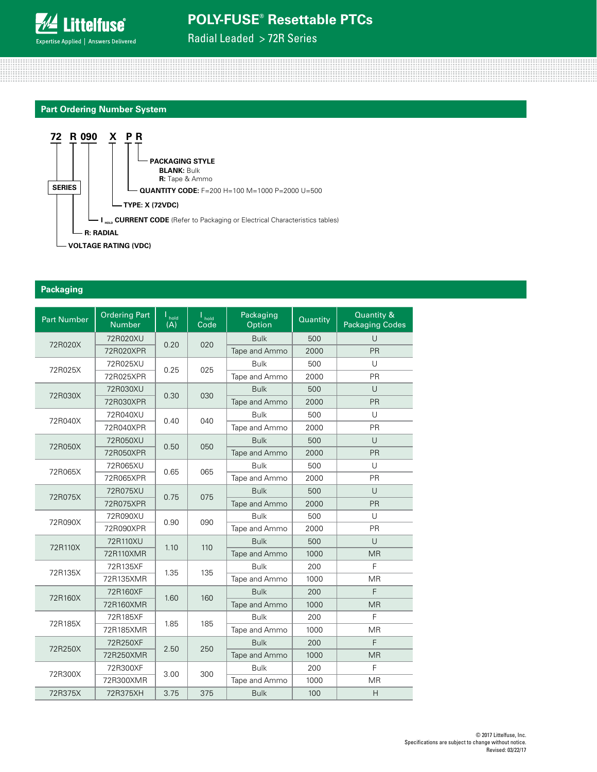

Radial Leaded > 72R Series





#### **Packaging**

| <b>Part Number</b> | <b>Ordering Part</b><br><b>Number</b> | $\mathsf{I}_{\mathsf{hold}}$<br>(A) | $\mathsf{I}_{\mathsf{hold}}$<br>Code | Packaging<br>Option | Quantity | Quantity &<br><b>Packaging Codes</b> |
|--------------------|---------------------------------------|-------------------------------------|--------------------------------------|---------------------|----------|--------------------------------------|
| 72R020X            | 72R020XU                              | 0.20                                | 020                                  | <b>Bulk</b>         | 500      | Ū                                    |
|                    | 72R020XPR                             |                                     |                                      | Tape and Ammo       | 2000     | PR                                   |
| 72R025X            | 72R025XU                              | 0.25                                | 025                                  | <b>Bulk</b>         | 500      | $\cup$                               |
|                    | 72R025XPR                             |                                     |                                      | Tape and Ammo       | 2000     | PR                                   |
| 72R030X            | 72R030XU                              | 0.30                                | 030                                  | <b>Bulk</b>         | 500      | $\cup$                               |
|                    | 72R030XPR                             |                                     |                                      | Tape and Ammo       | 2000     | PR                                   |
|                    | 72R040XU                              |                                     |                                      | <b>Bulk</b>         | 500      | U                                    |
| 72R040X            | 72R040XPR                             | 0.40                                | 040                                  | Tape and Ammo       | 2000     | <b>PR</b>                            |
|                    | 72R050XU                              |                                     |                                      | <b>Bulk</b>         | 500      | Ū                                    |
| 72R050X            | 72R050XPR                             | 0.50                                | 050                                  | Tape and Ammo       | 2000     | <b>PR</b>                            |
| 72R065X            | 72R065XU                              | 0.65                                | 065                                  | <b>Bulk</b>         | 500      | $\cup$                               |
|                    | 72R065XPR                             |                                     |                                      | Tape and Ammo       | 2000     | PR                                   |
|                    | 72R075XU<br>72R075X                   |                                     | 075                                  | <b>Bulk</b>         | 500      | $\cup$                               |
|                    | 72R075XPR                             | 0.75                                |                                      | Tape and Ammo       | 2000     | PR                                   |
| 72R090X            | 72R090XU                              | 0.90                                | 090                                  | <b>Bulk</b>         | 500      | U                                    |
|                    | 72R090XPR                             |                                     |                                      | Tape and Ammo       | 2000     | PR                                   |
| 72R110X            | 72R110XU                              | 1.10                                | 110                                  | <b>Bulk</b>         | 500      | U                                    |
|                    | 72R110XMR                             |                                     |                                      | Tape and Ammo       | 1000     | <b>MR</b>                            |
| 72R135X            | 72R135XF                              |                                     | 135                                  | <b>Bulk</b>         | 200      | F                                    |
|                    | 72R135XMR                             | 1.35                                |                                      | Tape and Ammo       | 1000     | <b>MR</b>                            |
| 72R160X            | 72R160XF                              | 1.60                                | 160                                  | <b>Bulk</b>         | 200      | F                                    |
|                    | 72R160XMR                             |                                     |                                      | Tape and Ammo       | 1000     | <b>MR</b>                            |
| 72R185X            | 72R185XF                              | 1.85                                | 185                                  | <b>Bulk</b>         | 200      | F                                    |
|                    | 72R185XMR                             |                                     |                                      | Tape and Ammo       | 1000     | <b>MR</b>                            |
| 72R250X            | 72R250XF                              | 2.50                                | 250                                  | <b>Bulk</b>         | 200      | F                                    |
|                    | 72R250XMR                             |                                     |                                      | Tape and Ammo       | 1000     | <b>MR</b>                            |
| 72R300X            | 72R300XF                              | 3.00                                | 300                                  | <b>Bulk</b>         | 200      | F                                    |
|                    | 72R300XMR                             |                                     |                                      | Tape and Ammo       | 1000     | <b>MR</b>                            |
| 72R375X            | 72R375XH                              | 3.75                                | 375                                  | <b>Bulk</b>         | 100      | $\mathsf{H}$                         |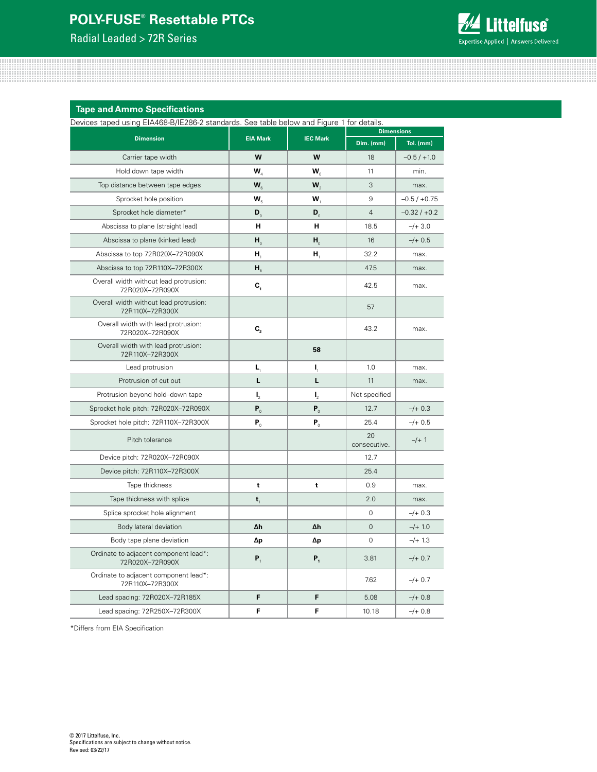Radial Leaded > 72R Series



**Tape and Ammo Specifications** 

Devices taped using EIA468-B/IE286-2 standards. See table below and Figure 1 for details.

| DUVICUS tapud don'ny EIMPOO D/IEZOO Z Standardo. Ouu table bulovy and Figure T Tor dutalis. |                              |                              |                    | <b>Dimensions</b> |  |  |  |
|---------------------------------------------------------------------------------------------|------------------------------|------------------------------|--------------------|-------------------|--|--|--|
| <b>Dimension</b>                                                                            | <b>EIA Mark</b>              | <b>IEC Mark</b>              | Dim. (mm)          | Tol. (mm)         |  |  |  |
| Carrier tape width                                                                          | W                            | W                            | 18                 | $-0.5/ +1.0$      |  |  |  |
| Hold down tape width                                                                        | W,                           | $\mathbf{W}_{0}$             | 11                 | min.              |  |  |  |
| Top distance between tape edges                                                             | $W_{\rm c}$                  | $W_{2}$                      | 3                  | max.              |  |  |  |
| Sprocket hole position                                                                      | $W_{5}$                      | W,                           | 9                  | $-0.5 / +0.75$    |  |  |  |
| Sprocket hole diameter*                                                                     | $\mathbf{D}_0$               | $\mathbf{D}_0$               | $\overline{4}$     | $-0.32 / +0.2$    |  |  |  |
| Abscissa to plane (straight lead)                                                           | н                            | н                            | 18.5               | $-/- 3.0$         |  |  |  |
| Abscissa to plane (kinked lead)                                                             | $H_0$                        | $H_0$                        | 16                 | $-/- 0.5$         |  |  |  |
| Abscissa to top 72R020X-72R090X                                                             | Н,                           | Н,                           | 32.2               | max.              |  |  |  |
| Abscissa to top 72R110X-72R300X                                                             | Н,                           |                              | 47.5               | max.              |  |  |  |
| Overall width without lead protrusion:<br>72R020X-72R090X                                   | $\mathbf{C}_{1}$             |                              | 42.5               | max.              |  |  |  |
| Overall width without lead protrusion:<br>72R110X-72R300X                                   |                              |                              | 57                 |                   |  |  |  |
| Overall width with lead protrusion:<br>72R020X-72R090X                                      | $C_{2}$                      |                              | 43.2               | max.              |  |  |  |
| Overall width with lead protrusion:<br>72R110X-72R300X                                      |                              | 58                           |                    |                   |  |  |  |
| Lead protrusion                                                                             | L,                           | Ι,                           | 1.0                | max.              |  |  |  |
| Protrusion of cut out                                                                       | L                            | L                            | 11                 | max.              |  |  |  |
| Protrusion beyond hold-down tape                                                            | $\mathbf{I}_{2}$             | $\mathbf{I}_{2}$             | Not specified      |                   |  |  |  |
| Sprocket hole pitch: 72R020X-72R090X                                                        | $\mathbf{P}_{_{\mathrm{0}}}$ | $\mathbf{P}_{_{\mathrm{0}}}$ | 12.7               | $-/- 0.3$         |  |  |  |
| Sprocket hole pitch: 72R110X-72R300X                                                        | $P_0$                        | $P_0$                        | 25.4               | $-/+$ 0.5         |  |  |  |
| Pitch tolerance                                                                             |                              |                              | 20<br>consecutive. | $-/+ 1$           |  |  |  |
| Device pitch: 72R020X-72R090X                                                               |                              |                              | 12.7               |                   |  |  |  |
| Device pitch: 72R110X-72R300X                                                               |                              |                              | 25.4               |                   |  |  |  |
| Tape thickness                                                                              | t                            | t                            | 0.9                | max.              |  |  |  |
| Tape thickness with splice                                                                  | t,                           |                              | 2.0                | max.              |  |  |  |
| Splice sprocket hole alignment                                                              |                              |                              | 0                  | $-/- 0.3$         |  |  |  |
| Body lateral deviation                                                                      | Δh                           | Δh                           | 0                  | $-/+ 1.0$         |  |  |  |
| Body tape plane deviation                                                                   | Δp                           | Δp                           | 0                  | $-/-1.3$          |  |  |  |
| Ordinate to adjacent component lead*:<br>72R020X-72R090X                                    | $P_{1}$                      | $P_{1}$                      | 3.81               | $-/+$ 0.7         |  |  |  |
| Ordinate to adjacent component lead*:<br>72R110X-72R300X                                    |                              |                              | 7.62               | $-/+ 0.7$         |  |  |  |
| Lead spacing: 72R020X-72R185X                                                               | F                            | F                            | 5.08               | $-/+$ 0.8         |  |  |  |
| Lead spacing: 72R250X-72R300X                                                               | F                            | F                            | 10.18              | $-/+$ 0.8         |  |  |  |

\*Differs from EIA Specification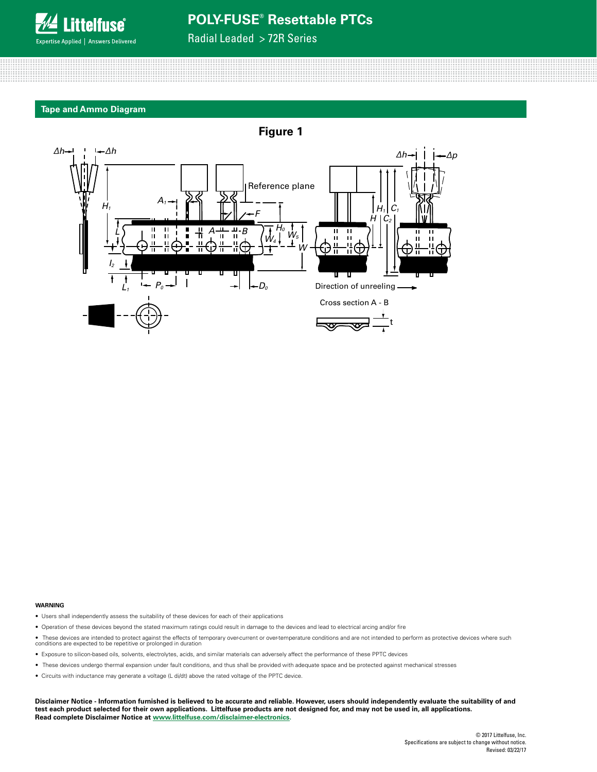

Radial Leaded > 72R Series

#### **Tape and Ammo Diagram**



#### **WARNING**

- Users shall independently assess the suitability of these devices for each of their applications
- Operation of these devices beyond the stated maximum ratings could result in damage to the devices and lead to electrical arcing and/or fire
- These devices are intended to protect against the effects of temporary over-current or over-temperature conditions and are not intended to perform as protective devices where such<br>conditions are expected to be repetitiv
- Exposure to silicon-based oils, solvents, electrolytes, acids, and similar materials can adversely affect the performance of these PPTC devices
- These devices undergo thermal expansion under fault conditions, and thus shall be provided with adequate space and be protected against mechanical stresses
- Circuits with inductance may generate a voltage (L di/dt) above the rated voltage of the PPTC device.

**Disclaimer Notice - Information furnished is believed to be accurate and reliable. However, users should independently evaluate the suitability of and test each product selected for their own applications. Littelfuse products are not designed for, and may not be used in, all applications. Read complete Disclaimer Notice at [www.littelfuse.com/disclaimer-electronics](http://www.littelfuse.com/disclaimer-electronics).**